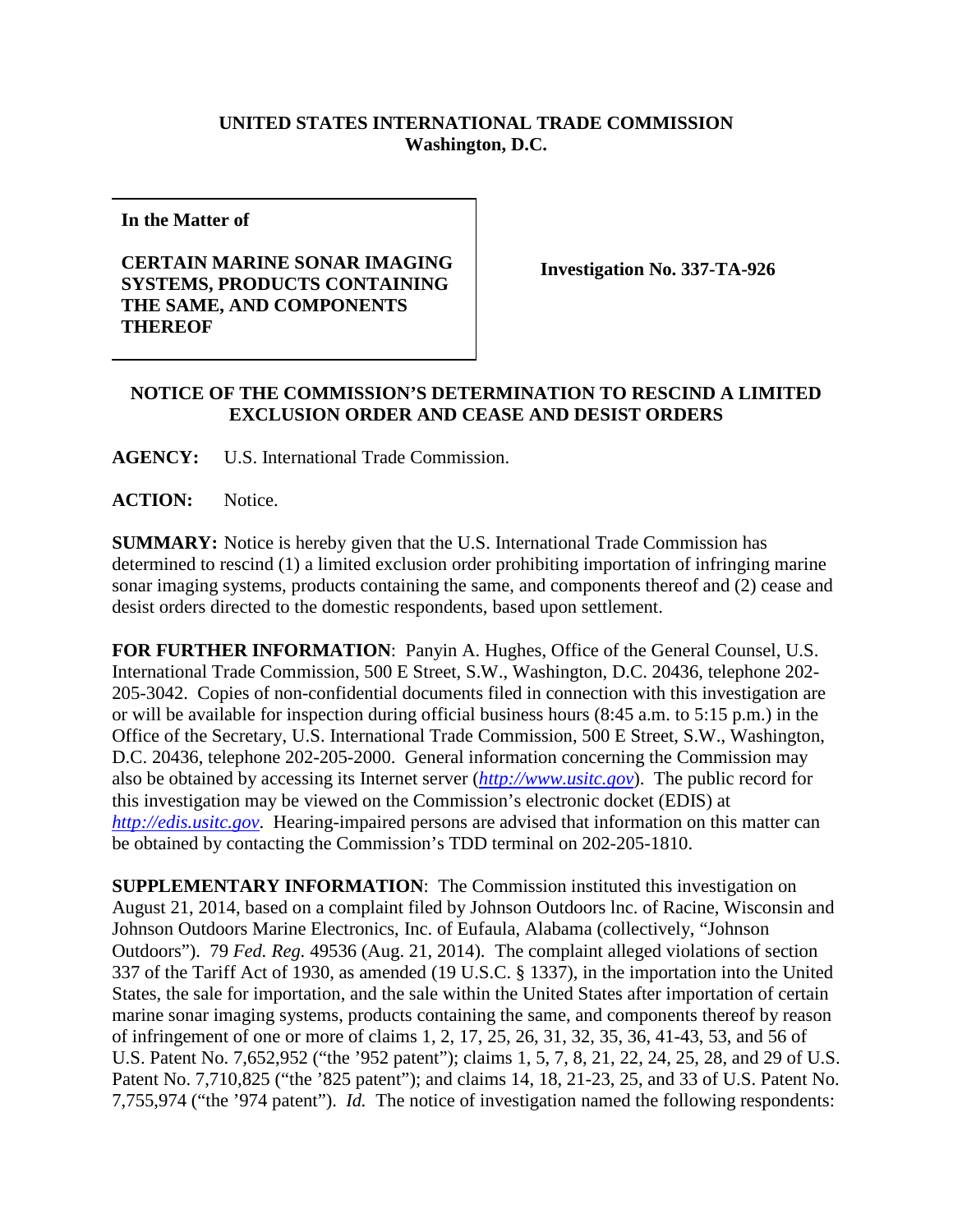## **UNITED STATES INTERNATIONAL TRADE COMMISSION Washington, D.C.**

**In the Matter of**

## **CERTAIN MARINE SONAR IMAGING SYSTEMS, PRODUCTS CONTAINING THE SAME, AND COMPONENTS THEREOF**

**Investigation No. 337-TA-926**

## **NOTICE OF THE COMMISSION'S DETERMINATION TO RESCIND A LIMITED EXCLUSION ORDER AND CEASE AND DESIST ORDERS**

**AGENCY:** U.S. International Trade Commission.

**ACTION:** Notice.

**SUMMARY:** Notice is hereby given that the U.S. International Trade Commission has determined to rescind (1) a limited exclusion order prohibiting importation of infringing marine sonar imaging systems, products containing the same, and components thereof and (2) cease and desist orders directed to the domestic respondents, based upon settlement.

**FOR FURTHER INFORMATION**: Panyin A. Hughes, Office of the General Counsel, U.S. International Trade Commission, 500 E Street, S.W., Washington, D.C. 20436, telephone 202- 205-3042. Copies of non-confidential documents filed in connection with this investigation are or will be available for inspection during official business hours (8:45 a.m. to 5:15 p.m.) in the Office of the Secretary, U.S. International Trade Commission, 500 E Street, S.W., Washington, D.C. 20436, telephone 202-205-2000. General information concerning the Commission may also be obtained by accessing its Internet server (*[http://www.usitc.gov](http://www.usitc.gov/)*). The public record for this investigation may be viewed on the Commission's electronic docket (EDIS) at *[http://edis.usitc.gov](http://edis.usitc.gov/)*. Hearing-impaired persons are advised that information on this matter can be obtained by contacting the Commission's TDD terminal on 202-205-1810.

**SUPPLEMENTARY INFORMATION**: The Commission instituted this investigation on August 21, 2014, based on a complaint filed by Johnson Outdoors lnc. of Racine, Wisconsin and Johnson Outdoors Marine Electronics, Inc. of Eufaula, Alabama (collectively, "Johnson Outdoors"). 79 *Fed. Reg.* 49536 (Aug. 21, 2014). The complaint alleged violations of section 337 of the Tariff Act of 1930, as amended (19 U.S.C. § 1337), in the importation into the United States, the sale for importation, and the sale within the United States after importation of certain marine sonar imaging systems, products containing the same, and components thereof by reason of infringement of one or more of claims 1, 2, 17, 25, 26, 31, 32, 35, 36, 41-43, 53, and 56 of U.S. Patent No. 7,652,952 ("the '952 patent"); claims 1, 5, 7, 8, 21, 22, 24, 25, 28, and 29 of U.S. Patent No. 7,710,825 ("the '825 patent"); and claims 14, 18, 21-23, 25, and 33 of U.S. Patent No. 7,755,974 ("the '974 patent"). *Id.* The notice of investigation named the following respondents: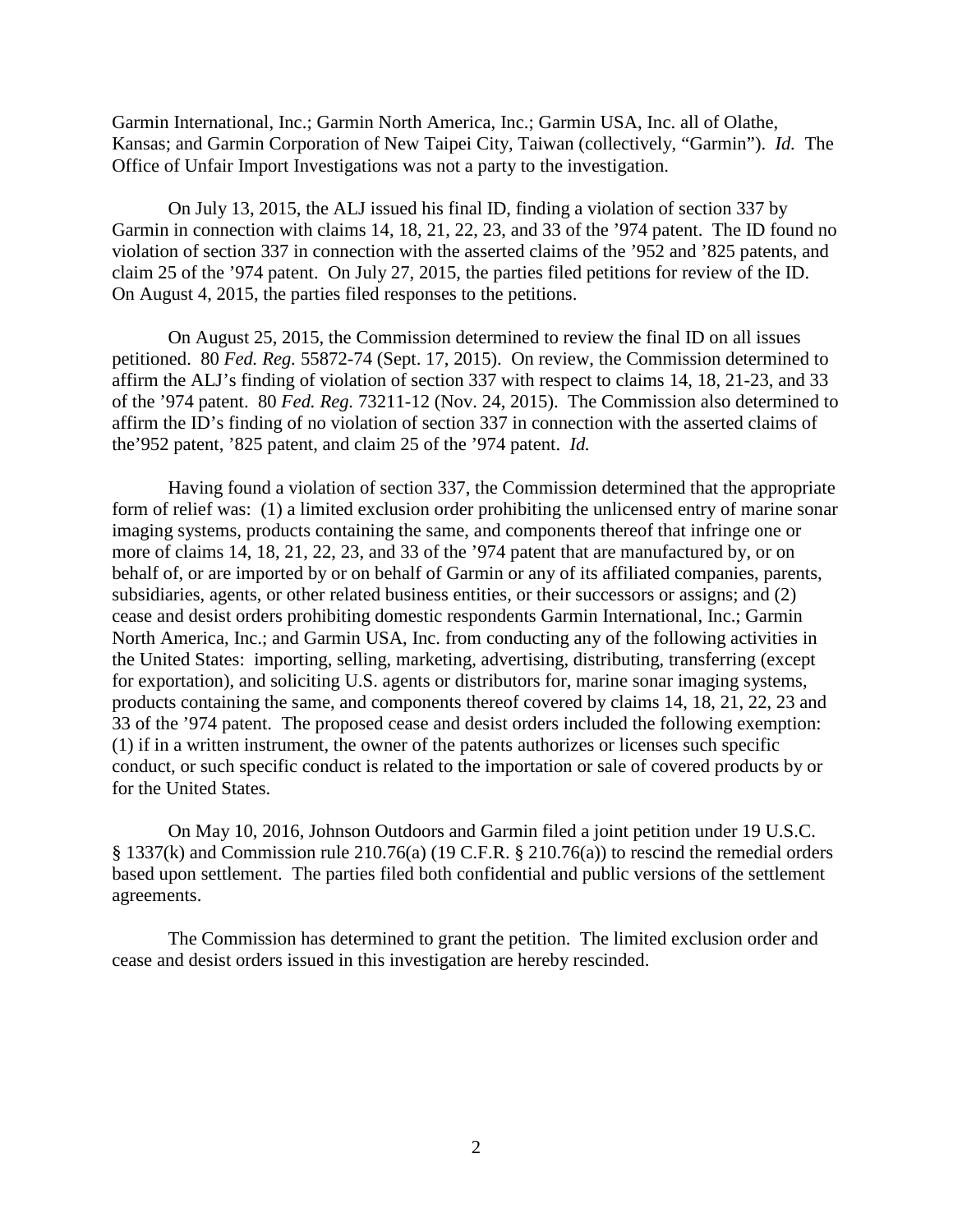Garmin International, Inc.; Garmin North America, Inc.; Garmin USA, Inc. all of Olathe, Kansas; and Garmin Corporation of New Taipei City, Taiwan (collectively, "Garmin"). *Id.* The Office of Unfair Import Investigations was not a party to the investigation.

On July 13, 2015, the ALJ issued his final ID, finding a violation of section 337 by Garmin in connection with claims 14, 18, 21, 22, 23, and 33 of the '974 patent. The ID found no violation of section 337 in connection with the asserted claims of the '952 and '825 patents, and claim 25 of the '974 patent. On July 27, 2015, the parties filed petitions for review of the ID. On August 4, 2015, the parties filed responses to the petitions.

On August 25, 2015, the Commission determined to review the final ID on all issues petitioned. 80 *Fed. Reg.* 55872-74 (Sept. 17, 2015). On review, the Commission determined to affirm the ALJ's finding of violation of section 337 with respect to claims 14, 18, 21-23, and 33 of the '974 patent. 80 *Fed. Reg.* 73211-12 (Nov. 24, 2015). The Commission also determined to affirm the ID's finding of no violation of section 337 in connection with the asserted claims of the'952 patent, '825 patent, and claim 25 of the '974 patent. *Id.*

Having found a violation of section 337, the Commission determined that the appropriate form of relief was: (1) a limited exclusion order prohibiting the unlicensed entry of marine sonar imaging systems, products containing the same, and components thereof that infringe one or more of claims 14, 18, 21, 22, 23, and 33 of the '974 patent that are manufactured by, or on behalf of, or are imported by or on behalf of Garmin or any of its affiliated companies, parents, subsidiaries, agents, or other related business entities, or their successors or assigns; and (2) cease and desist orders prohibiting domestic respondents Garmin International, Inc.; Garmin North America, Inc.; and Garmin USA, Inc. from conducting any of the following activities in the United States: importing, selling, marketing, advertising, distributing, transferring (except for exportation), and soliciting U.S. agents or distributors for, marine sonar imaging systems, products containing the same, and components thereof covered by claims 14, 18, 21, 22, 23 and 33 of the '974 patent. The proposed cease and desist orders included the following exemption: (1) if in a written instrument, the owner of the patents authorizes or licenses such specific conduct, or such specific conduct is related to the importation or sale of covered products by or for the United States.

On May 10, 2016, Johnson Outdoors and Garmin filed a joint petition under 19 U.S.C. § 1337(k) and Commission rule 210.76(a) (19 C.F.R. § 210.76(a)) to rescind the remedial orders based upon settlement. The parties filed both confidential and public versions of the settlement agreements.

The Commission has determined to grant the petition. The limited exclusion order and cease and desist orders issued in this investigation are hereby rescinded.